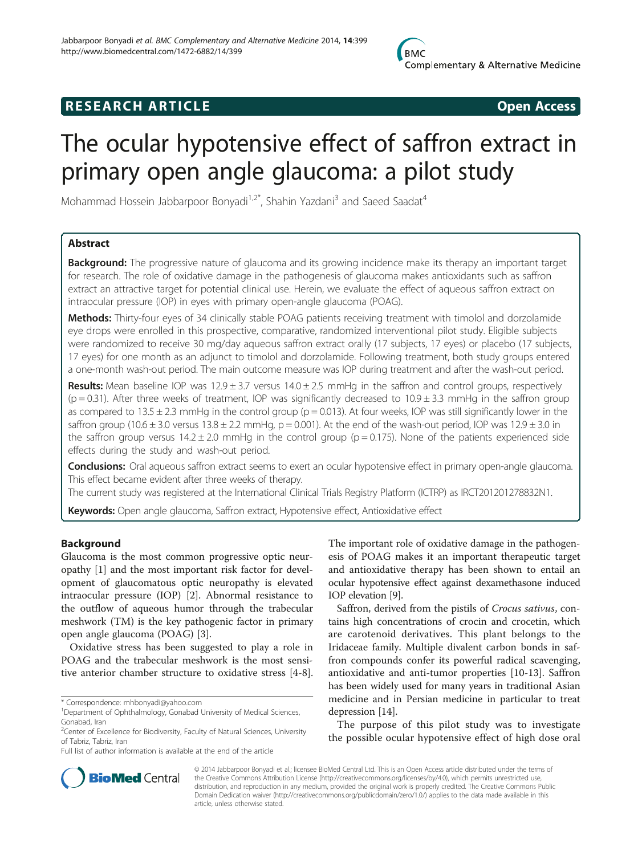### **RESEARCH ARTICLE Example 2018 12:00 Open Access**

# The ocular hypotensive effect of saffron extract in primary open angle glaucoma: a pilot study

Mohammad Hossein Jabbarpoor Bonyadi<sup>1,2\*</sup>, Shahin Yazdani<sup>3</sup> and Saeed Saadat<sup>4</sup>

#### Abstract

Background: The progressive nature of glaucoma and its growing incidence make its therapy an important target for research. The role of oxidative damage in the pathogenesis of glaucoma makes antioxidants such as saffron extract an attractive target for potential clinical use. Herein, we evaluate the effect of aqueous saffron extract on intraocular pressure (IOP) in eyes with primary open-angle glaucoma (POAG).

Methods: Thirty-four eyes of 34 clinically stable POAG patients receiving treatment with timolol and dorzolamide eye drops were enrolled in this prospective, comparative, randomized interventional pilot study. Eligible subjects were randomized to receive 30 mg/day aqueous saffron extract orally (17 subjects, 17 eyes) or placebo (17 subjects, 17 eyes) for one month as an adjunct to timolol and dorzolamide. Following treatment, both study groups entered a one-month wash-out period. The main outcome measure was IOP during treatment and after the wash-out period.

Results: Mean baseline IOP was  $12.9 \pm 3.7$  versus  $14.0 \pm 2.5$  mmHg in the saffron and control groups, respectively  $(p = 0.31)$ . After three weeks of treatment, IOP was significantly decreased to  $10.9 \pm 3.3$  mmHg in the saffron group as compared to  $13.5 \pm 2.3$  mmHg in the control group (p = 0.013). At four weeks, IOP was still significantly lower in the saffron group (10.6  $\pm$  3.0 versus 13.8  $\pm$  2.2 mmHg, p = 0.001). At the end of the wash-out period, IOP was 12.9  $\pm$  3.0 in the saffron group versus  $14.2 \pm 2.0$  mmHg in the control group (p = 0.175). None of the patients experienced side effects during the study and wash-out period.

**Conclusions:** Oral aqueous saffron extract seems to exert an ocular hypotensive effect in primary open-angle glaucoma. This effect became evident after three weeks of therapy.

The current study was registered at the International Clinical Trials Registry Platform (ICTRP) as [IRCT201201278832N1](http://apps.who.int/trialsearch/Trial2.aspx?TrialID=IRCT201201278832N1).

Keywords: Open angle glaucoma, Saffron extract, Hypotensive effect, Antioxidative effect

#### Background

Glaucoma is the most common progressive optic neuropathy [[1\]](#page-4-0) and the most important risk factor for development of glaucomatous optic neuropathy is elevated intraocular pressure (IOP) [\[2](#page-4-0)]. Abnormal resistance to the outflow of aqueous humor through the trabecular meshwork (TM) is the key pathogenic factor in primary open angle glaucoma (POAG) [\[3\]](#page-4-0).

Oxidative stress has been suggested to play a role in POAG and the trabecular meshwork is the most sensitive anterior chamber structure to oxidative stress [[4-8](#page-4-0)].

Full list of author information is available at the end of the article

The important role of oxidative damage in the pathogenesis of POAG makes it an important therapeutic target and antioxidative therapy has been shown to entail an ocular hypotensive effect against dexamethasone induced IOP elevation [\[9](#page-4-0)].

Saffron, derived from the pistils of Crocus sativus, contains high concentrations of crocin and crocetin, which are carotenoid derivatives. This plant belongs to the Iridaceae family. Multiple divalent carbon bonds in saffron compounds confer its powerful radical scavenging, antioxidative and anti-tumor properties [[10-13\]](#page-4-0). Saffron has been widely used for many years in traditional Asian medicine and in Persian medicine in particular to treat depression [[14\]](#page-4-0).

The purpose of this pilot study was to investigate the possible ocular hypotensive effect of high dose oral



© 2014 Jabbarpoor Bonyadi et al.; licensee BioMed Central Ltd. This is an Open Access article distributed under the terms of the Creative Commons Attribution License [\(http://creativecommons.org/licenses/by/4.0\)](http://creativecommons.org/licenses/by/4.0), which permits unrestricted use, distribution, and reproduction in any medium, provided the original work is properly credited. The Creative Commons Public Domain Dedication waiver [\(http://creativecommons.org/publicdomain/zero/1.0/\)](http://creativecommons.org/publicdomain/zero/1.0/) applies to the data made available in this article, unless otherwise stated.

<sup>\*</sup> Correspondence: [mhbonyadi@yahoo.com](mailto:mhbonyadi@yahoo.com) <sup>1</sup>

<sup>&</sup>lt;sup>1</sup>Department of Ophthalmology, Gonabad University of Medical Sciences, Gonabad, Iran

<sup>&</sup>lt;sup>2</sup>Center of Excellence for Biodiversity, Faculty of Natural Sciences, University of Tabriz, Tabriz, Iran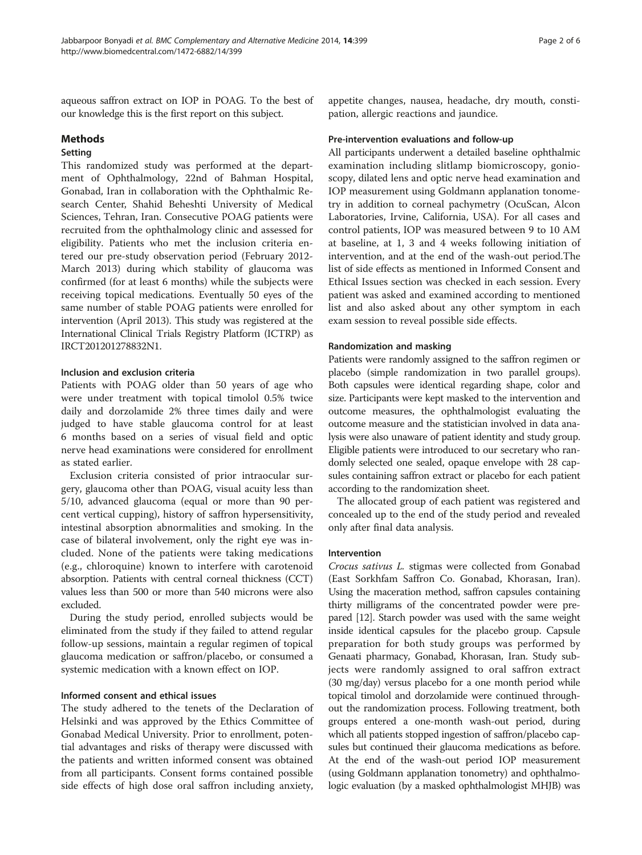aqueous saffron extract on IOP in POAG. To the best of our knowledge this is the first report on this subject.

#### Methods

#### Setting

This randomized study was performed at the department of Ophthalmology, 22nd of Bahman Hospital, Gonabad, Iran in collaboration with the Ophthalmic Research Center, Shahid Beheshti University of Medical Sciences, Tehran, Iran. Consecutive POAG patients were recruited from the ophthalmology clinic and assessed for eligibility. Patients who met the inclusion criteria entered our pre-study observation period (February 2012- March 2013) during which stability of glaucoma was confirmed (for at least 6 months) while the subjects were receiving topical medications. Eventually 50 eyes of the same number of stable POAG patients were enrolled for intervention (April 2013). This study was registered at the International Clinical Trials Registry Platform (ICTRP) as IRCT201201278832N1.

#### Inclusion and exclusion criteria

Patients with POAG older than 50 years of age who were under treatment with topical timolol 0.5% twice daily and dorzolamide 2% three times daily and were judged to have stable glaucoma control for at least 6 months based on a series of visual field and optic nerve head examinations were considered for enrollment as stated earlier.

Exclusion criteria consisted of prior intraocular surgery, glaucoma other than POAG, visual acuity less than 5/10, advanced glaucoma (equal or more than 90 percent vertical cupping), history of saffron hypersensitivity, intestinal absorption abnormalities and smoking. In the case of bilateral involvement, only the right eye was included. None of the patients were taking medications (e.g., chloroquine) known to interfere with carotenoid absorption. Patients with central corneal thickness (CCT) values less than 500 or more than 540 microns were also excluded.

During the study period, enrolled subjects would be eliminated from the study if they failed to attend regular follow-up sessions, maintain a regular regimen of topical glaucoma medication or saffron/placebo, or consumed a systemic medication with a known effect on IOP.

#### Informed consent and ethical issues

The study adhered to the tenets of the Declaration of Helsinki and was approved by the Ethics Committee of Gonabad Medical University. Prior to enrollment, potential advantages and risks of therapy were discussed with the patients and written informed consent was obtained from all participants. Consent forms contained possible side effects of high dose oral saffron including anxiety, appetite changes, nausea, headache, dry mouth, constipation, allergic reactions and jaundice.

#### Pre-intervention evaluations and follow-up

All participants underwent a detailed baseline ophthalmic examination including slitlamp biomicroscopy, gonioscopy, dilated lens and optic nerve head examination and IOP measurement using Goldmann applanation tonometry in addition to corneal pachymetry (OcuScan, Alcon Laboratories, Irvine, California, USA). For all cases and control patients, IOP was measured between 9 to 10 AM at baseline, at 1, 3 and 4 weeks following initiation of intervention, and at the end of the wash-out period.The list of side effects as mentioned in Informed Consent and Ethical Issues section was checked in each session. Every patient was asked and examined according to mentioned list and also asked about any other symptom in each exam session to reveal possible side effects.

#### Randomization and masking

Patients were randomly assigned to the saffron regimen or placebo (simple randomization in two parallel groups). Both capsules were identical regarding shape, color and size. Participants were kept masked to the intervention and outcome measures, the ophthalmologist evaluating the outcome measure and the statistician involved in data analysis were also unaware of patient identity and study group. Eligible patients were introduced to our secretary who randomly selected one sealed, opaque envelope with 28 capsules containing saffron extract or placebo for each patient according to the randomization sheet.

The allocated group of each patient was registered and concealed up to the end of the study period and revealed only after final data analysis.

#### Intervention

Crocus sativus L. stigmas were collected from Gonabad (East Sorkhfam Saffron Co. Gonabad, Khorasan, Iran). Using the maceration method, saffron capsules containing thirty milligrams of the concentrated powder were prepared [\[12\]](#page-4-0). Starch powder was used with the same weight inside identical capsules for the placebo group. Capsule preparation for both study groups was performed by Genaati pharmacy, Gonabad, Khorasan, Iran. Study subjects were randomly assigned to oral saffron extract (30 mg/day) versus placebo for a one month period while topical timolol and dorzolamide were continued throughout the randomization process. Following treatment, both groups entered a one-month wash-out period, during which all patients stopped ingestion of saffron/placebo capsules but continued their glaucoma medications as before. At the end of the wash-out period IOP measurement (using Goldmann applanation tonometry) and ophthalmologic evaluation (by a masked ophthalmologist MHJB) was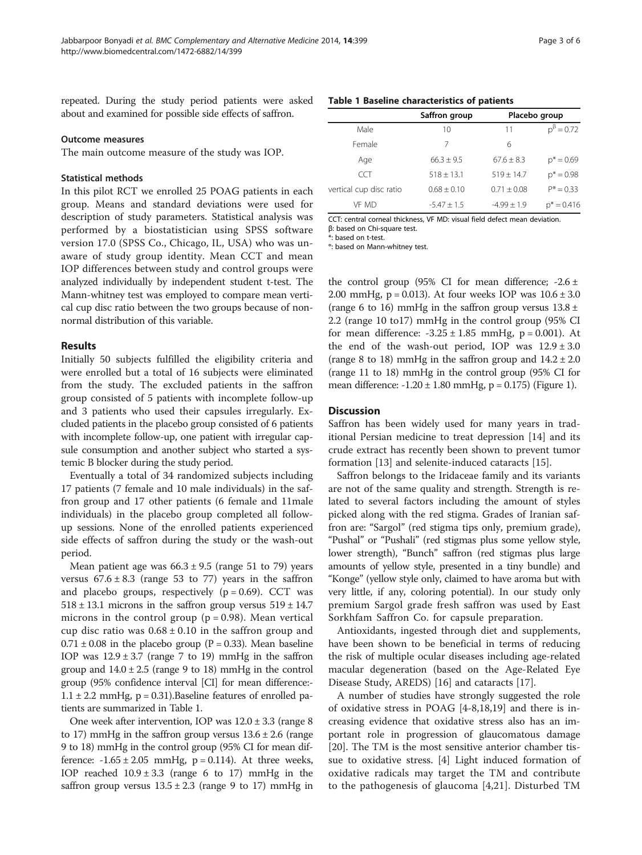repeated. During the study period patients were asked about and examined for possible side effects of saffron.

#### Outcome measures

The main outcome measure of the study was IOP.

#### Statistical methods

In this pilot RCT we enrolled 25 POAG patients in each group. Means and standard deviations were used for description of study parameters. Statistical analysis was performed by a biostatistician using SPSS software version 17.0 (SPSS Co., Chicago, IL, USA) who was unaware of study group identity. Mean CCT and mean IOP differences between study and control groups were analyzed individually by independent student t-test. The Mann-whitney test was employed to compare mean vertical cup disc ratio between the two groups because of nonnormal distribution of this variable.

#### Results

Initially 50 subjects fulfilled the eligibility criteria and were enrolled but a total of 16 subjects were eliminated from the study. The excluded patients in the saffron group consisted of 5 patients with incomplete follow-up and 3 patients who used their capsules irregularly. Excluded patients in the placebo group consisted of 6 patients with incomplete follow-up, one patient with irregular capsule consumption and another subject who started a systemic B blocker during the study period.

Eventually a total of 34 randomized subjects including 17 patients (7 female and 10 male individuals) in the saffron group and 17 other patients (6 female and 11male individuals) in the placebo group completed all followup sessions. None of the enrolled patients experienced side effects of saffron during the study or the wash-out period.

Mean patient age was  $66.3 \pm 9.5$  (range 51 to 79) years versus  $67.6 \pm 8.3$  (range 53 to 77) years in the saffron and placebo groups, respectively  $(p = 0.69)$ . CCT was  $518 \pm 13.1$  microns in the saffron group versus  $519 \pm 14.7$ microns in the control group ( $p = 0.98$ ). Mean vertical cup disc ratio was  $0.68 \pm 0.10$  in the saffron group and  $0.71 \pm 0.08$  in the placebo group (P = 0.33). Mean baseline IOP was  $12.9 \pm 3.7$  (range 7 to 19) mmHg in the saffron group and  $14.0 \pm 2.5$  (range 9 to 18) mmHg in the control group (95% confidence interval [CI] for mean difference:-  $1.1 \pm 2.2$  mmHg,  $p = 0.31$ ). Baseline features of enrolled patients are summarized in Table 1.

One week after intervention, IOP was 12.0 ± 3.3 (range 8 to 17) mmHg in the saffron group versus  $13.6 \pm 2.6$  (range 9 to 18) mmHg in the control group (95% CI for mean difference:  $-1.65 \pm 2.05$  mmHg,  $p = 0.114$ ). At three weeks, IOP reached  $10.9 \pm 3.3$  (range 6 to 17) mmHg in the saffron group versus  $13.5 \pm 2.3$  (range 9 to 17) mmHg in

#### Table 1 Baseline characteristics of patients

|                         | Saffron group   | Placebo group  |                    |
|-------------------------|-----------------|----------------|--------------------|
| Male                    | 10              | 11             | $p^{\beta} = 0.72$ |
| Female                  | 7               | 6              |                    |
| Age                     | $66.3 \pm 9.5$  | $67.6 + 8.3$   | $p^* = 0.69$       |
| CCT                     | $518 + 13.1$    | $519 \pm 14.7$ | $p^* = 0.98$       |
| vertical cup disc ratio | $0.68 + 0.10$   | $0.71 + 0.08$  | $P^* = 0.33$       |
| VF MD                   | $-5.47 \pm 1.5$ | $-4.99 + 1.9$  | $p^* = 0.416$      |

CCT: central corneal thickness, VF MD: visual field defect mean deviation. β: based on Chi-square test.

\*: based on t-test.

®: based on Mann-whitney test.

the control group (95% CI for mean difference;  $-2.6 \pm$ 2.00 mmHg,  $p = 0.013$ ). At four weeks IOP was  $10.6 \pm 3.0$ (range 6 to 16) mmHg in the saffron group versus  $13.8 \pm$ 2.2 (range 10 to17) mmHg in the control group (95% CI for mean difference:  $-3.25 \pm 1.85$  mmHg,  $p = 0.001$ ). At the end of the wash-out period, IOP was  $12.9 \pm 3.0$ (range 8 to 18) mmHg in the saffron group and  $14.2 \pm 2.0$ (range 11 to 18) mmHg in the control group (95% CI for mean difference:  $-1.20 \pm 1.80$  mmHg,  $p = 0.175$ ) (Figure [1\)](#page-3-0).

#### **Discussion**

Saffron has been widely used for many years in traditional Persian medicine to treat depression [[14](#page-4-0)] and its crude extract has recently been shown to prevent tumor formation [\[13](#page-4-0)] and selenite-induced cataracts [[15\]](#page-4-0).

Saffron belongs to the Iridaceae family and its variants are not of the same quality and strength. Strength is related to several factors including the amount of styles picked along with the red stigma. Grades of Iranian saffron are: "Sargol" (red stigma tips only, premium grade), "Pushal" or "Pushali" (red stigmas plus some yellow style, lower strength), "Bunch" saffron (red stigmas plus large amounts of yellow style, presented in a tiny bundle) and "Konge" (yellow style only, claimed to have aroma but with very little, if any, coloring potential). In our study only premium Sargol grade fresh saffron was used by East Sorkhfam Saffron Co. for capsule preparation.

Antioxidants, ingested through diet and supplements, have been shown to be beneficial in terms of reducing the risk of multiple ocular diseases including age-related macular degeneration (based on the Age-Related Eye Disease Study, AREDS) [\[16](#page-4-0)] and cataracts [\[17](#page-4-0)].

A number of studies have strongly suggested the role of oxidative stress in POAG [\[4](#page-4-0)-[8,18,19\]](#page-4-0) and there is increasing evidence that oxidative stress also has an important role in progression of glaucomatous damage [[20\]](#page-4-0). The TM is the most sensitive anterior chamber tissue to oxidative stress. [[4\]](#page-4-0) Light induced formation of oxidative radicals may target the TM and contribute to the pathogenesis of glaucoma [[4,21](#page-4-0)]. Disturbed TM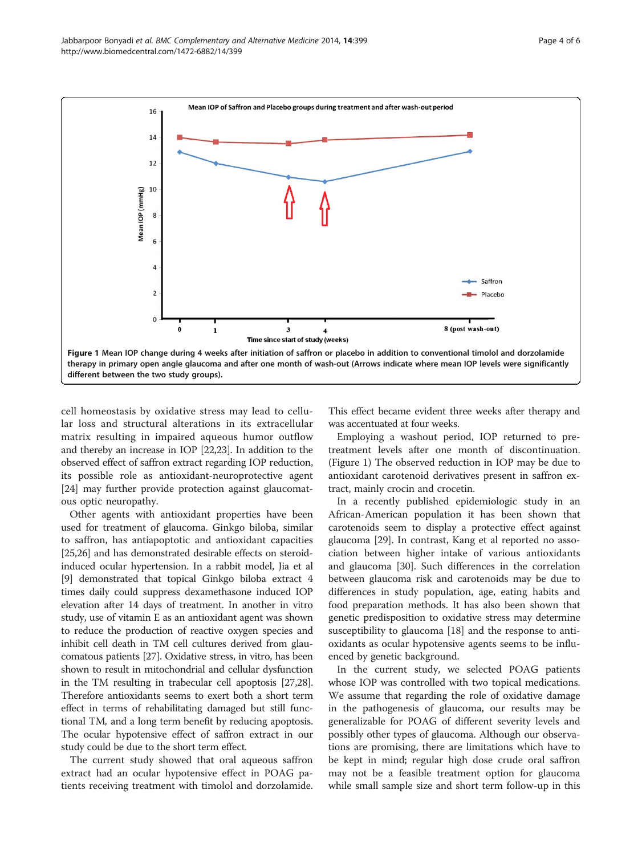<span id="page-3-0"></span>

cell homeostasis by oxidative stress may lead to cellular loss and structural alterations in its extracellular matrix resulting in impaired aqueous humor outflow and thereby an increase in IOP [\[22,23\]](#page-4-0). In addition to the observed effect of saffron extract regarding IOP reduction, its possible role as antioxidant-neuroprotective agent [[24\]](#page-5-0) may further provide protection against glaucomatous optic neuropathy.

Other agents with antioxidant properties have been used for treatment of glaucoma. Ginkgo biloba, similar to saffron, has antiapoptotic and antioxidant capacities [[25,26](#page-5-0)] and has demonstrated desirable effects on steroidinduced ocular hypertension. In a rabbit model, Jia et al [[9\]](#page-4-0) demonstrated that topical Ginkgo biloba extract 4 times daily could suppress dexamethasone induced IOP elevation after 14 days of treatment. In another in vitro study, use of vitamin E as an antioxidant agent was shown to reduce the production of reactive oxygen species and inhibit cell death in TM cell cultures derived from glaucomatous patients [\[27](#page-5-0)]. Oxidative stress, in vitro, has been shown to result in mitochondrial and cellular dysfunction in the TM resulting in trabecular cell apoptosis [\[27,28](#page-5-0)]. Therefore antioxidants seems to exert both a short term effect in terms of rehabilitating damaged but still functional TM, and a long term benefit by reducing apoptosis. The ocular hypotensive effect of saffron extract in our study could be due to the short term effect.

The current study showed that oral aqueous saffron extract had an ocular hypotensive effect in POAG patients receiving treatment with timolol and dorzolamide.

This effect became evident three weeks after therapy and was accentuated at four weeks.

Employing a washout period, IOP returned to pretreatment levels after one month of discontinuation. (Figure 1) The observed reduction in IOP may be due to antioxidant carotenoid derivatives present in saffron extract, mainly crocin and crocetin.

In a recently published epidemiologic study in an African-American population it has been shown that carotenoids seem to display a protective effect against glaucoma [\[29](#page-5-0)]. In contrast, Kang et al reported no association between higher intake of various antioxidants and glaucoma [\[30\]](#page-5-0). Such differences in the correlation between glaucoma risk and carotenoids may be due to differences in study population, age, eating habits and food preparation methods. It has also been shown that genetic predisposition to oxidative stress may determine susceptibility to glaucoma [\[18\]](#page-4-0) and the response to antioxidants as ocular hypotensive agents seems to be influenced by genetic background.

In the current study, we selected POAG patients whose IOP was controlled with two topical medications. We assume that regarding the role of oxidative damage in the pathogenesis of glaucoma, our results may be generalizable for POAG of different severity levels and possibly other types of glaucoma. Although our observations are promising, there are limitations which have to be kept in mind; regular high dose crude oral saffron may not be a feasible treatment option for glaucoma while small sample size and short term follow-up in this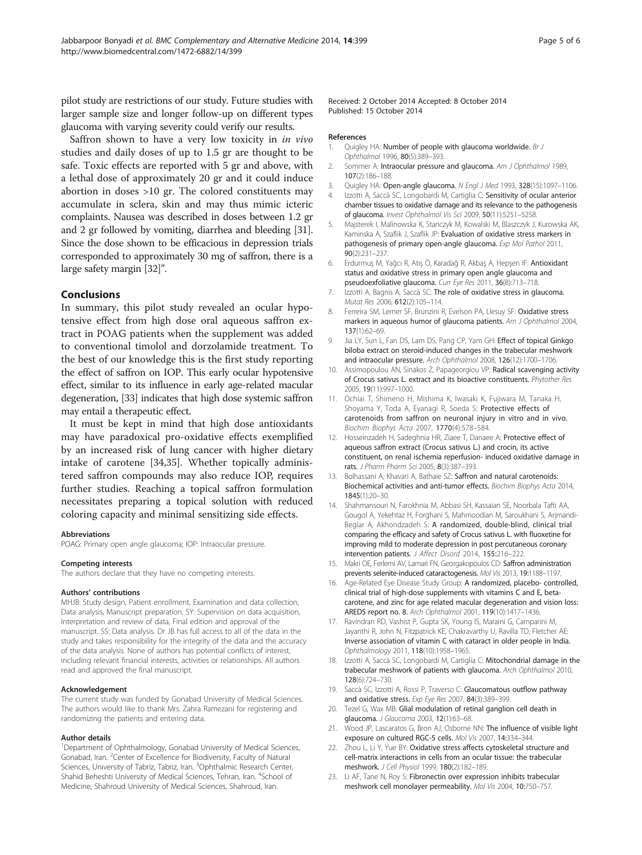<span id="page-4-0"></span>pilot study are restrictions of our study. Future studies with larger sample size and longer follow-up on different types glaucoma with varying severity could verify our results.

Saffron shown to have a very low toxicity in in vivo studies and daily doses of up to 1.5 gr are thought to be safe. Toxic effects are reported with 5 gr and above, with a lethal dose of approximately 20 gr and it could induce abortion in doses >10 gr. The colored constituents may accumulate in sclera, skin and may thus mimic icteric complaints. Nausea was described in doses between 1.2 gr and 2 gr followed by vomiting, diarrhea and bleeding [\[31](#page-5-0)]. Since the dose shown to be efficacious in depression trials corresponded to approximately 30 mg of saffron, there is a large safety margin [[32](#page-5-0)]".

#### **Conclusions**

In summary, this pilot study revealed an ocular hypotensive effect from high dose oral aqueous saffron extract in POAG patients when the supplement was added to conventional timolol and dorzolamide treatment. To the best of our knowledge this is the first study reporting the effect of saffron on IOP. This early ocular hypotensive effect, similar to its influence in early age-related macular degeneration, [[33](#page-5-0)] indicates that high dose systemic saffron may entail a therapeutic effect.

It must be kept in mind that high dose antioxidants may have paradoxical pro-oxidative effects exemplified by an increased risk of lung cancer with higher dietary intake of carotene [\[34,35](#page-5-0)]. Whether topically administered saffron compounds may also reduce IOP, requires further studies. Reaching a topical saffron formulation necessitates preparing a topical solution with reduced coloring capacity and minimal sensitizing side effects.

#### Abbreviations

POAG: Primary open angle glaucoma; IOP: Intraocular pressure.

#### Competing interests

The authors declare that they have no competing interests.

#### Authors' contributions

MHJB: Study design, Patient enrollment, Examination and data collection, Data analysis, Manuscript preparation. SY: Supervision on data acquisition, Interpretation and review of data, Final edition and approval of the manuscript. SS: Data analysis. Dr JB has full access to all of the data in the study and takes responsibility for the integrity of the data and the accuracy of the data analysis. None of authors has potential conflicts of interest, including relevant financial interests, activities or relationships. All authors read and approved the final manuscript.

#### Acknowledgement

The current study was funded by Gonabad University of Medical Sciences. The authors would like to thank Mrs. Zahra Ramezani for registering and randomizing the patients and entering data.

#### Author details

<sup>1</sup>Department of Ophthalmology, Gonabad University of Medical Sciences, Gonabad, Iran. <sup>2</sup>Center of Excellence for Biodiversity, Faculty of Natural Sciences, University of Tabriz, Tabriz, Iran. <sup>3</sup>Ophthalmic Research Center, Shahid Beheshti University of Medical Sciences, Tehran, Iran. <sup>4</sup>School of Medicine, Shahroud University of Medical Sciences, Shahroud, Iran.

Received: 2 October 2014 Accepted: 8 October 2014 Published: 15 October 2014

#### References

- 1. Quigley HA: Number of people with glaucoma worldwide. Br J Ophthalmol 1996, 80(5):389–393.
- 2. Sommer A: Intraocular pressure and glaucoma. Am J Ophthalmol 1989, 107(2):186–188.
- 3. Quigley HA: Open-angle glaucoma. N Engl J Med 1993, 328(15):1097-1106.
- 4. Izzotti A, Saccà SC, Longobardi M, Cartiglia C: Sensitivity of ocular anterior chamber tissues to oxidative damage and its relevance to the pathogenesis of glaucoma. Invest Ophthalmol Vis Sci 2009, 50(11):5251–5258.
- 5. Majsterek I, Malinowska K, Stanczyk M, Kowalski M, Blaszczyk J, Kurowska AK, Kaminska A, Szaflik J, Szaflik JP: Evaluation of oxidative stress markers in pathogenesis of primary open-angle glaucoma. Exp Mol Pathol 2011, 90(2):231–237.
- 6. Erdurmuş M, Yağcı R, Atış Ö, Karadağ R, Akbaş A, Hepşen IF: Antioxidant status and oxidative stress in primary open angle glaucoma and pseudoexfoliative glaucoma. Curr Eye Res 2011, 36(8):713–718.
- 7. Izzotti A, Bagnis A, Saccà SC: The role of oxidative stress in glaucoma. Mutat Res 2006, 612(2):105–114.
- 8. Ferreira SM, Lerner SF, Brunzini R, Evelson PA, Llesuy SF: Oxidative stress markers in aqueous humor of glaucoma patients. Am J Ophthalmol 2004, 137(1):62–69.
- 9. Jia LY, Sun L, Fan DS, Lam DS, Pang CP, Yam GH: Effect of topical Ginkgo biloba extract on steroid-induced changes in the trabecular meshwork and intraocular pressure. Arch Ophthalmol 2008, 126(12):1700–1706.
- 10. Assimopoulou AN, Sinakos Z, Papageorgiou VP: Radical scavenging activity of Crocus sativus L. extract and its bioactive constituents. Phytother Res 2005, 19(11):997–1000.
- 11. Ochiai T, Shimeno H, Mishima K, Iwasaki K, Fujiwara M, Tanaka H, Shoyama Y, Toda A, Eyanagi R, Soeda S: Protective effects of carotenoids from saffron on neuronal injury in vitro and in vivo. Biochim Biophys Acta 2007, 1770(4):578–584.
- 12. Hosseinzadeh H, Sadeghnia HR, Ziaee T, Danaee A: Protective effect of aqueous saffron extract (Crocus sativus L.) and crocin, its active constituent, on renal ischemia reperfusion- induced oxidative damage in rats. J Pharm Pharm Sci 2005, 8(3):387–393.
- 13. Bolhassani A, Khavari A, Bathaie SZ: Saffron and natural carotenoids: Biochemical activities and anti-tumor effects. Biochim Biophys Acta 2014, 1845(1):20–30.
- 14. Shahmansouri N, Farokhnia M, Abbasi SH, Kassaian SE, Noorbala Tafti AA, Gougol A, Yekehtaz H, Forghani S, Mahmoodian M, Saroukhani S, Arjmandi-Beglar A, Akhondzadeh S: A randomized, double-blind, clinical trial comparing the efficacy and safety of Crocus sativus L. with fluoxetine for improving mild to moderate depression in post percutaneous coronary intervention patients. J Affect Disord 2014, 155:216–222.
- 15. Makri OE, Ferlemi AV, Lamari FN, Georgakopoulos CD: Saffron administration prevents selenite-induced cataractogenesis. Mol Vis 2013, 19:1188–1197.
- 16. Age-Related Eye Disease Study Group: A randomized, placebo- controlled, clinical trial of high-dose supplements with vitamins C and E, betacarotene, and zinc for age related macular degeneration and vision loss: AREDS report no. 8. Arch Ophthalmol 2001, 119(10):1417–1436.
- 17. Ravindran RD, Vashist P, Gupta SK, Young IS, Maraini G, Camparini M, Jayanthi R, John N, Fitzpatrick KE, Chakravarthy U, Ravilla TD, Fletcher AE: Inverse association of vitamin C with cataract in older people in India. Ophthalmology 2011, 118(10):1958–1965.
- 18. Izzotti A, Saccà SC, Longobardi M, Cartiglia C: Mitochondrial damage in the trabecular meshwork of patients with glaucoma. Arch Ophthalmol 2010, 128(6):724–730.
- 19. Saccà SC, Izzotti A, Rossi P, Traverso C: Glaucomatous outflow pathway and oxidative stress. Exp Eye Res 2007, 84(3):389-399.
- 20. Tezel G, Wax MB: Glial modulation of retinal ganglion cell death in glaucoma. J Glaucoma 2003, 12(1):63–68.
- 21. Wood JP, Lascaratos G, Bron AJ, Osborne NN: The influence of visible light exposure on cultured RGC-5 cells. Mol Vis 2007, 14:334–344.
- 22. Zhou L, Li Y, Yue BY: Oxidative stress affects cytoskeletal structure and cell-matrix interactions in cells from an ocular tissue: the trabecular meshwork. J Cell Physiol 1999, 180(2):182–189.
- 23. Li AF, Tane N, Roy S: Fibronectin over expression inhibits trabecular meshwork cell monolayer permeability. Mol Vis 2004, 10:750–757.